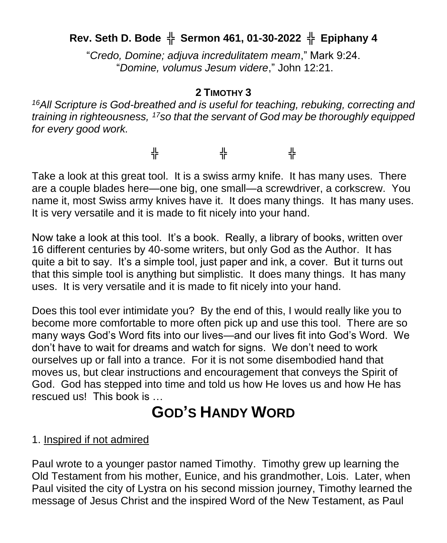## **Rev. Seth D. Bode** ╬ **Sermon 461, 01-30-2022** ╬ **Epiphany 4**

"*Credo, Domine; adjuva incredulitatem meam*," Mark 9:24. "*Domine, volumus Jesum videre*," John 12:21.

## **2 TIMOTHY 3**

*<sup>16</sup>All Scripture is God-breathed and is useful for teaching, rebuking, correcting and training in righteousness, <sup>17</sup>so that the servant of God may be thoroughly equipped for every good work.*

╬ ╬ ╬

Take a look at this great tool. It is a swiss army knife. It has many uses. There are a couple blades here—one big, one small—a screwdriver, a corkscrew. You name it, most Swiss army knives have it. It does many things. It has many uses. It is very versatile and it is made to fit nicely into your hand.

Now take a look at this tool. It's a book. Really, a library of books, written over 16 different centuries by 40-some writers, but only God as the Author. It has quite a bit to say. It's a simple tool, just paper and ink, a cover. But it turns out that this simple tool is anything but simplistic. It does many things. It has many uses. It is very versatile and it is made to fit nicely into your hand.

Does this tool ever intimidate you? By the end of this, I would really like you to become more comfortable to more often pick up and use this tool. There are so many ways God's Word fits into our lives—and our lives fit into God's Word. We don't have to wait for dreams and watch for signs. We don't need to work ourselves up or fall into a trance. For it is not some disembodied hand that moves us, but clear instructions and encouragement that conveys the Spirit of God. God has stepped into time and told us how He loves us and how He has rescued us! This book is …

## **GOD'S HANDY WORD**

## 1. Inspired if not admired

Paul wrote to a younger pastor named Timothy. Timothy grew up learning the Old Testament from his mother, Eunice, and his grandmother, Lois. Later, when Paul visited the city of Lystra on his second mission journey, Timothy learned the message of Jesus Christ and the inspired Word of the New Testament, as Paul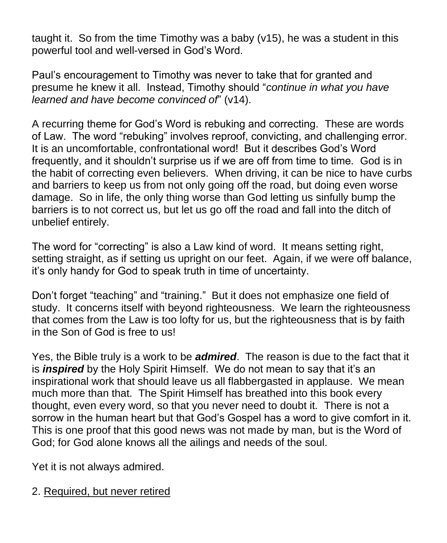taught it. So from the time Timothy was a baby (v15), he was a student in this powerful tool and well-versed in God's Word.

Paul's encouragement to Timothy was never to take that for granted and presume he knew it all. Instead, Timothy should "*continue in what you have learned and have become convinced of*" (v14).

A recurring theme for God's Word is rebuking and correcting. These are words of Law. The word "rebuking" involves reproof, convicting, and challenging error. It is an uncomfortable, confrontational word! But it describes God's Word frequently, and it shouldn't surprise us if we are off from time to time. God is in the habit of correcting even believers. When driving, it can be nice to have curbs and barriers to keep us from not only going off the road, but doing even worse damage. So in life, the only thing worse than God letting us sinfully bump the barriers is to not correct us, but let us go off the road and fall into the ditch of unbelief entirely.

The word for "correcting" is also a Law kind of word. It means setting right, setting straight, as if setting us upright on our feet. Again, if we were off balance, it's only handy for God to speak truth in time of uncertainty.

Don't forget "teaching" and "training." But it does not emphasize one field of study. It concerns itself with beyond righteousness. We learn the righteousness that comes from the Law is too lofty for us, but the righteousness that is by faith in the Son of God is free to us!

Yes, the Bible truly is a work to be *admired*. The reason is due to the fact that it is *inspired* by the Holy Spirit Himself. We do not mean to say that it's an inspirational work that should leave us all flabbergasted in applause. We mean much more than that. The Spirit Himself has breathed into this book every thought, even every word, so that you never need to doubt it. There is not a sorrow in the human heart but that God's Gospel has a word to give comfort in it. This is one proof that this good news was not made by man, but is the Word of God; for God alone knows all the ailings and needs of the soul.

Yet it is not always admired.

2. Required, but never retired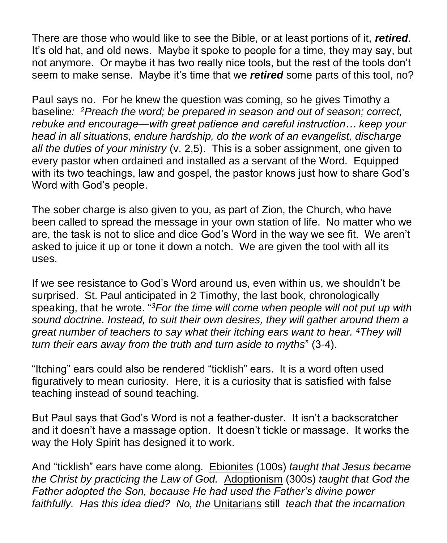There are those who would like to see the Bible, or at least portions of it, *retired*. It's old hat, and old news. Maybe it spoke to people for a time, they may say, but not anymore. Or maybe it has two really nice tools, but the rest of the tools don't seem to make sense. Maybe it's time that we *retired* some parts of this tool, no?

Paul says no. For he knew the question was coming, so he gives Timothy a baseline*: <sup>2</sup>Preach the word; be prepared in season and out of season; correct, rebuke and encourage—with great patience and careful instruction… keep your head in all situations, endure hardship, do the work of an evangelist, discharge all the duties of your ministry* (v. 2,5). This is a sober assignment, one given to every pastor when ordained and installed as a servant of the Word. Equipped with its two teachings, law and gospel, the pastor knows just how to share God's Word with God's people.

The sober charge is also given to you, as part of Zion, the Church, who have been called to spread the message in your own station of life. No matter who we are, the task is not to slice and dice God's Word in the way we see fit. We aren't asked to juice it up or tone it down a notch. We are given the tool with all its uses.

If we see resistance to God's Word around us, even within us, we shouldn't be surprised. St. Paul anticipated in 2 Timothy, the last book, chronologically speaking, that he wrote. " *<sup>3</sup>For the time will come when people will not put up with sound doctrine. Instead, to suit their own desires, they will gather around them a great number of teachers to say what their itching ears want to hear. <sup>4</sup>They will turn their ears away from the truth and turn aside to myths*" (3-4).

"Itching" ears could also be rendered "ticklish" ears. It is a word often used figuratively to mean curiosity. Here, it is a curiosity that is satisfied with false teaching instead of sound teaching.

But Paul says that God's Word is not a feather-duster. It isn't a backscratcher and it doesn't have a massage option. It doesn't tickle or massage. It works the way the Holy Spirit has designed it to work.

And "ticklish" ears have come along. Ebionites (100s) *taught that Jesus became the Christ by practicing the Law of God.* Adoptionism (300s) *taught that God the Father adopted the Son, because He had used the Father's divine power faithfully. Has this idea died? No, the* Unitarians still *teach that the incarnation*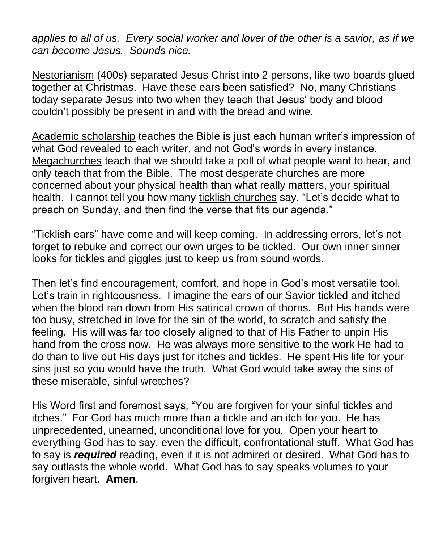*applies to all of us. Every social worker and lover of the other is a savior, as if we can become Jesus. Sounds nice.*

Nestorianism (400s) separated Jesus Christ into 2 persons, like two boards glued together at Christmas. Have these ears been satisfied? No, many Christians today separate Jesus into two when they teach that Jesus' body and blood couldn't possibly be present in and with the bread and wine.

Academic scholarship teaches the Bible is just each human writer's impression of what God revealed to each writer, and not God's words in every instance. Megachurches teach that we should take a poll of what people want to hear, and only teach that from the Bible. The most desperate churches are more concerned about your physical health than what really matters, your spiritual health. I cannot tell you how many ticklish churches say, "Let's decide what to preach on Sunday, and then find the verse that fits our agenda."

"Ticklish ears" have come and will keep coming. In addressing errors, let's not forget to rebuke and correct our own urges to be tickled. Our own inner sinner looks for tickles and giggles just to keep us from sound words.

Then let's find encouragement, comfort, and hope in God's most versatile tool. Let's train in righteousness. I imagine the ears of our Savior tickled and itched when the blood ran down from His satirical crown of thorns. But His hands were too busy, stretched in love for the sin of the world, to scratch and satisfy the feeling. His will was far too closely aligned to that of His Father to unpin His hand from the cross now. He was always more sensitive to the work He had to do than to live out His days just for itches and tickles. He spent His life for your sins just so you would have the truth. What God would take away the sins of these miserable, sinful wretches?

His Word first and foremost says, "You are forgiven for your sinful tickles and itches." For God has much more than a tickle and an itch for you. He has unprecedented, unearned, unconditional love for you. Open your heart to everything God has to say, even the difficult, confrontational stuff. What God has to say is *required* reading, even if it is not admired or desired. What God has to say outlasts the whole world. What God has to say speaks volumes to your forgiven heart. **Amen**.